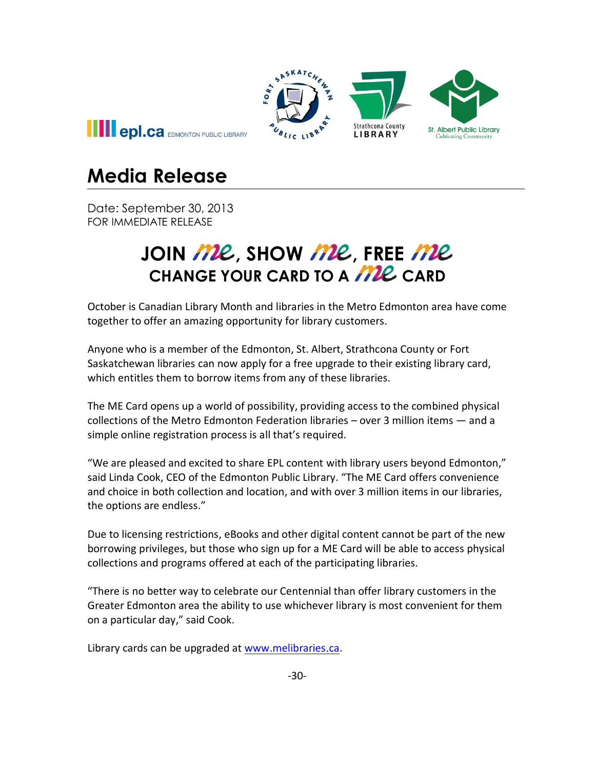

## **Media Release**

Date: September 30, 2013 FOR IMMEDIATE RELEASE

## JOIN *ME*, SHOW *ME*, FREE *ME* **CHANGE YOUR CARD TO A MIL CARD**

October is Canadian Library Month and libraries in the Metro Edmonton area have come together to offer an amazing opportunity for library customers.

Anyone who is a member of the Edmonton, St. Albert, Strathcona County or Fort Saskatchewan libraries can now apply for a free upgrade to their existing library card, which entitles them to borrow items from any of these libraries.

The ME Card opens up a world of possibility, providing access to the combined physical collections of the Metro Edmonton Federation libraries – over 3 million items — and a simple online registration process is all that's required.

"We are pleased and excited to share EPL content with library users beyond Edmonton," said Linda Cook, CEO of the Edmonton Public Library. "The ME Card offers convenience and choice in both collection and location, and with over 3 million items in our libraries, the options are endless."

Due to licensing restrictions, eBooks and other digital content cannot be part of the new borrowing privileges, but those who sign up for a ME Card will be able to access physical collections and programs offered at each of the participating libraries.

"There is no better way to celebrate our Centennial than offer library customers in the Greater Edmonton area the ability to use whichever library is most convenient for them on a particular day," said Cook.

Library cards can be upgraded at [www.melibraries.ca.](http://www.melibraries.ca/)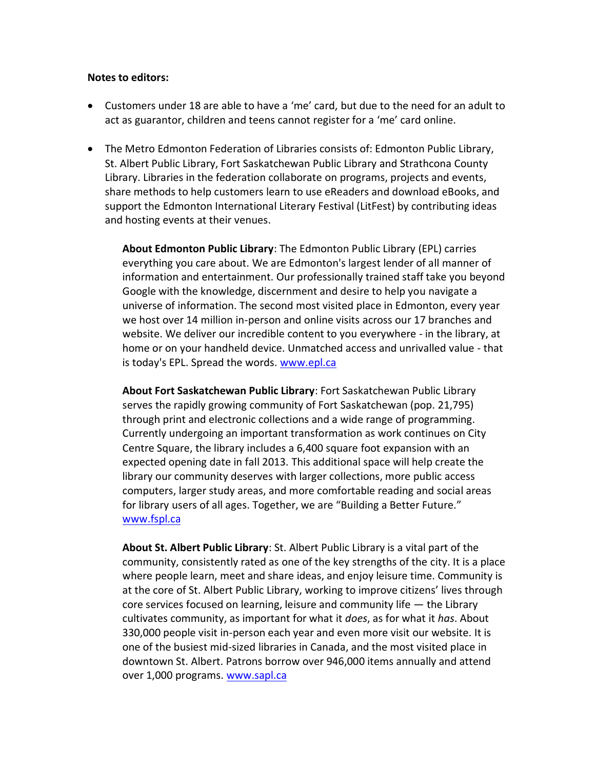## **Notes to editors:**

- Customers under 18 are able to have a 'me' card, but due to the need for an adult to act as guarantor, children and teens cannot register for a 'me' card online.
- The Metro Edmonton Federation of Libraries consists of: Edmonton Public Library, St. Albert Public Library, Fort Saskatchewan Public Library and Strathcona County Library. Libraries in the federation collaborate on programs, projects and events, share methods to help customers learn to use eReaders and download eBooks, and support the Edmonton International Literary Festival (LitFest) by contributing ideas and hosting events at their venues.

**About Edmonton Public Library**: The Edmonton Public Library (EPL) carries everything you care about. We are Edmonton's largest lender of all manner of information and entertainment. Our professionally trained staff take you beyond Google with the knowledge, discernment and desire to help you navigate a universe of information. The second most visited place in Edmonton, every year we host over 14 million in-person and online visits across our 17 branches and website. We deliver our incredible content to you everywhere - in the library, at home or on your handheld device. Unmatched access and unrivalled value - that is today's EPL. Spread the words. [www.epl.ca](http://www.epl.ca/)

**About Fort Saskatchewan Public Library**: Fort Saskatchewan Public Library serves the rapidly growing community of Fort Saskatchewan (pop. 21,795) through print and electronic collections and a wide range of programming. Currently undergoing an important transformation as work continues on City Centre Square, the library includes a 6,400 square foot expansion with an expected opening date in fall 2013. This additional space will help create the library our community deserves with larger collections, more public access computers, larger study areas, and more comfortable reading and social areas for library users of all ages. Together, we are "Building a Better Future." [www.fspl.ca](http://www.fspl.ca/)

**About St. Albert Public Library**: St. Albert Public Library is a vital part of the community, consistently rated as one of the key strengths of the city. It is a place where people learn, meet and share ideas, and enjoy leisure time. Community is at the core of St. Albert Public Library, working to improve citizens' lives through core services focused on learning, leisure and community life — the Library cultivates community, as important for what it *does*, as for what it *has*. About 330,000 people visit in-person each year and even more visit our website. It is one of the busiest mid-sized libraries in Canada, and the most visited place in downtown St. Albert. Patrons borrow over 946,000 items annually and attend over 1,000 programs. [www.sapl.ca](http://www.sapl.ca/)